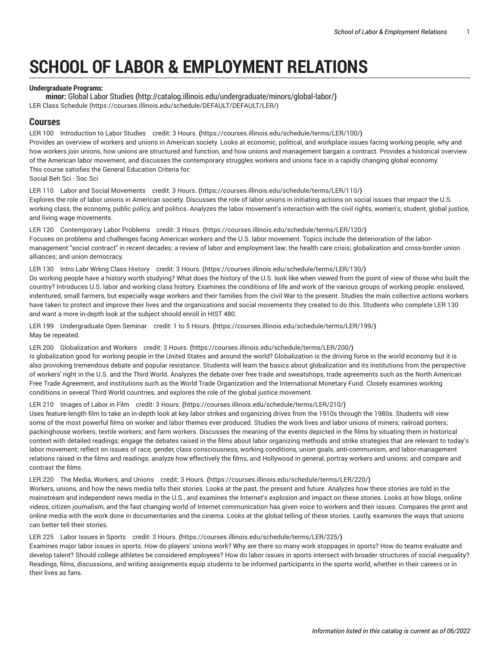# **SCHOOL OF LABOR & EMPLOYMENT RELATIONS**

# **Undergraduate Programs:**

**minor:** [Global Labor Studies](http://catalog.illinois.edu/undergraduate/minors/global-labor/) **(**<http://catalog.illinois.edu/undergraduate/minors/global-labor/>**)** [LER Class Schedule](https://courses.illinois.edu/schedule/DEFAULT/DEFAULT/LER/) [\(https://courses.illinois.edu/schedule/DEFAULT/DEFAULT/LER/\)](https://courses.illinois.edu/schedule/DEFAULT/DEFAULT/LER/)

# **Courses**

LER 100 [Introduction](https://courses.illinois.edu/schedule/terms/LER/100/) to Labor Studies credit: 3 Hours. **(**<https://courses.illinois.edu/schedule/terms/LER/100/>**)** Provides an overview of workers and unions in American society. Looks at economic, political, and workplace issues facing working people, why and how workers join unions, how unions are structured and function, and how unions and management bargain a contract. Provides a historical overview of the American labor movement, and discusses the contemporary struggles workers and unions face in a rapidly changing global economy. This course satisfies the General Education Criteria for: Social Beh Sci - Soc Sci

LER 110 Labor and Social [Movements](https://courses.illinois.edu/schedule/terms/LER/110/) credit: 3 Hours. **(**<https://courses.illinois.edu/schedule/terms/LER/110/>**)** Explores the role of labor unions in American society. Discusses the role of labor unions in initiating actions on social issues that impact the U.S. working class, the economy, public policy, and politics. Analyzes the labor movement's interaction with the civil rights, women's, student, global justice, and living wage movements.

LER 120 [Contemporary](https://courses.illinois.edu/schedule/terms/LER/120/) Labor Problems credit: 3 Hours. **(**<https://courses.illinois.edu/schedule/terms/LER/120/>**)** Focuses on problems and challenges facing American workers and the U.S. labor movement. Topics include the deterioration of the labormanagement "social contract" in recent decades; a review of labor and employment law; the health care crisis; globalization and cross-border union alliances; and union democracy.

LER 130 Intro Labr Wrkng Class [History](https://courses.illinois.edu/schedule/terms/LER/130/) credit: 3 Hours. **(**<https://courses.illinois.edu/schedule/terms/LER/130/>**)**

Do working people have a history worth studying? What does the history of the U.S. look like when viewed from the point of view of those who built the country? Introduces U.S. labor and working class history. Examines the conditions of life and work of the various groups of working people: enslaved, indentured, small farmers, but especially wage workers and their families from the civil War to the present. Studies the main collective actions workers have taken to protect and improve their lives and the organizations and social movements they created to do this. Students who complete [LER 130](/search/?P=LER%20130) and want a more in-depth look at the subject should enroll in [HIST 480.](/search/?P=HIST%20480)

LER 199 [Undergraduate](https://courses.illinois.edu/schedule/terms/LER/199/) Open Seminar credit: 1 to 5 Hours. **(**<https://courses.illinois.edu/schedule/terms/LER/199/>**)** May be repeated.

LER 200 [Globalization](https://courses.illinois.edu/schedule/terms/LER/200/) and Workers credit: 3 Hours. **(**<https://courses.illinois.edu/schedule/terms/LER/200/>**)** Is globalization good for working people in the United States and around the world? Globalization is the driving force in the world economy but it is also provoking tremendous debate and popular resistance. Students will learn the basics about globalization and its institutions from the perspective of workers' right in the U.S. and the Third World. Analyzes the debate over free trade and sweatshops, trade agreements such as the North American Free Trade Agreement, and institutions such as the World Trade Organization and the International Monetary Fund. Closely examines working conditions in several Third World countries, and explores the role of the global justice movement.

LER 210 [Images](https://courses.illinois.edu/schedule/terms/LER/210/) of Labor in Film credit: 3 Hours. **(**<https://courses.illinois.edu/schedule/terms/LER/210/>**)**

Uses feature-length film to take an in-depth look at key labor strikes and organizing drives from the 1910s through the 1980s. Students will view some of the most powerful films on worker and labor themes ever produced. Studies the work lives and labor unions of miners; railroad porters; packinghouse workers; textile workers; and farm workers. Discusses the meaning of the events depicted in the films by situating them in historical context with detailed readings; engage the debates raised in the films about labor organizing methods and strike strategies that are relevant to today's labor movement; reflect on issues of race, gender, class consciousness, working conditions, union goals, anti-communism, and labor-management relations raised in the films and readings; analyze how effectively the films, and Hollywood in general, portray workers and unions; and compare and contrast the films.

LER 220 The Media, [Workers,](https://courses.illinois.edu/schedule/terms/LER/220/) and Unions credit: 3 Hours. **(**<https://courses.illinois.edu/schedule/terms/LER/220/>**)**

Workers, unions, and how the news media tells their stories. Looks at the past, the present and future. Analyzes how these stories are told in the mainstream and independent news media in the U.S., and examines the Internet's explosion and impact on these stories. Looks at how blogs, online videos, citizen journalism, and the fast changing world of Internet communication has given voice to workers and their issues. Compares the print and online media with the work done in documentaries and the cinema. Looks at the global telling of these stories. Lastly, examines the ways that unions can better tell their stories.

LER 225 Labor Issues in Sports credit: 3 [Hours.](https://courses.illinois.edu/schedule/terms/LER/225/) **(**<https://courses.illinois.edu/schedule/terms/LER/225/>**)**

Examines major labor issues in sports. How do players' unions work? Why are there so many work stoppages in sports? How do teams evaluate and develop talent? Should college athletes be considered employees? How do labor issues in sports intersect with broader structures of social inequality? Readings, films, discussions, and writing assignments equip students to be informed participants in the sports world, whether in their careers or in their lives as fans.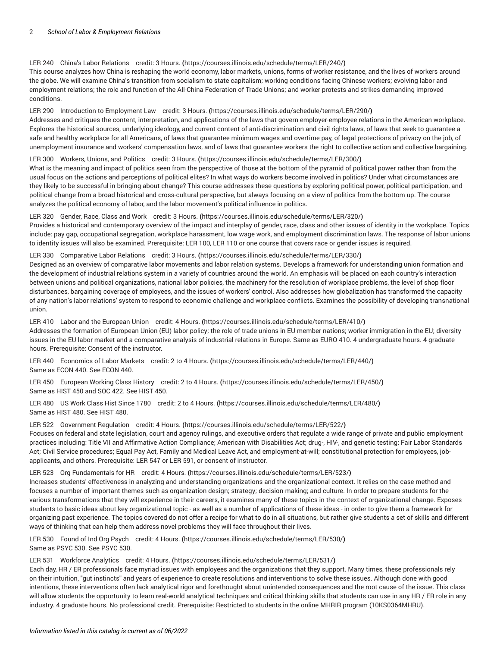# LER 240 China's Labor [Relations](https://courses.illinois.edu/schedule/terms/LER/240/) credit: 3 Hours. **(**<https://courses.illinois.edu/schedule/terms/LER/240/>**)**

This course analyzes how China is reshaping the world economy, labor markets, unions, forms of worker resistance, and the lives of workers around the globe. We will examine China's transition from socialism to state capitalism; working conditions facing Chinese workers; evolving labor and employment relations; the role and function of the All-China Federation of Trade Unions; and worker protests and strikes demanding improved conditions.

#### LER 290 Introduction to [Employment](https://courses.illinois.edu/schedule/terms/LER/290/) Law credit: 3 Hours. **(**<https://courses.illinois.edu/schedule/terms/LER/290/>**)**

Addresses and critiques the content, interpretation, and applications of the laws that govern employer-employee relations in the American workplace. Explores the historical sources, underlying ideology, and current content of anti-discrimination and civil rights laws, of laws that seek to guarantee a safe and healthy workplace for all Americans, of laws that guarantee minimum wages and overtime pay, of legal protections of privacy on the job, of unemployment insurance and workers' compensation laws, and of laws that guarantee workers the right to collective action and collective bargaining.

LER 300 [Workers,](https://courses.illinois.edu/schedule/terms/LER/300/) Unions, and Politics credit: 3 Hours. **(**<https://courses.illinois.edu/schedule/terms/LER/300/>**)**

What is the meaning and impact of politics seen from the perspective of those at the bottom of the pyramid of political power rather than from the usual focus on the actions and perceptions of political elites? In what ways do workers become involved in politics? Under what circumstances are they likely to be successful in bringing about change? This course addresses these questions by exploring political power, political participation, and political change from a broad historical and cross-cultural perspective, but always focusing on a view of politics from the bottom up. The course analyzes the political economy of labor, and the labor movement's political influence in politics.

#### LER 320 [Gender,](https://courses.illinois.edu/schedule/terms/LER/320/) Race, Class and Work credit: 3 Hours. **(**<https://courses.illinois.edu/schedule/terms/LER/320/>**)**

Provides a historical and contemporary overview of the impact and interplay of gender, race, class and other issues of identity in the workplace. Topics include: pay gap, occupational segregation, workplace harassment, low wage work, and employment discrimination laws. The response of labor unions to identity issues will also be examined. Prerequisite: [LER 100](/search/?P=LER%20100), [LER 110](/search/?P=LER%20110) or one course that covers race or gender issues is required.

#### LER 330 [Comparative](https://courses.illinois.edu/schedule/terms/LER/330/) Labor Relations credit: 3 Hours. **(**<https://courses.illinois.edu/schedule/terms/LER/330/>**)**

Designed as an overview of comparative labor movements and labor relation systems. Develops a framework for understanding union formation and the development of industrial relations system in a variety of countries around the world. An emphasis will be placed on each country's interaction between unions and political organizations, national labor policies, the machinery for the resolution of workplace problems, the level of shop floor disturbances, bargaining coverage of employees, and the issues of workers' control. Also addresses how globalization has transformed the capacity of any nation's labor relations' system to respond to economic challenge and workplace conflicts. Examines the possibility of developing transnational union.

LER 410 Labor and the [European](https://courses.illinois.edu/schedule/terms/LER/410/) Union credit: 4 Hours. **(**<https://courses.illinois.edu/schedule/terms/LER/410/>**)** Addresses the formation of European Union (EU) labor policy; the role of trade unions in EU member nations; worker immigration in the EU; diversity issues in the EU labor market and a comparative analysis of industrial relations in Europe. Same as [EURO 410.](/search/?P=EURO%20410) 4 undergraduate hours. 4 graduate hours. Prerequisite: Consent of the instructor.

LER 440 [Economics](https://courses.illinois.edu/schedule/terms/LER/440/) of Labor Markets credit: 2 to 4 Hours. **(**<https://courses.illinois.edu/schedule/terms/LER/440/>**)** Same as [ECON 440](/search/?P=ECON%20440). See [ECON 440](/search/?P=ECON%20440).

LER 450 [European](https://courses.illinois.edu/schedule/terms/LER/450/) Working Class History credit: 2 to 4 Hours. **(**<https://courses.illinois.edu/schedule/terms/LER/450/>**)** Same as [HIST 450](/search/?P=HIST%20450) and [SOC 422.](/search/?P=SOC%20422) See [HIST 450](/search/?P=HIST%20450).

LER 480 US Work Class Hist Since 1780 credit: 2 to 4 [Hours.](https://courses.illinois.edu/schedule/terms/LER/480/) **(**<https://courses.illinois.edu/schedule/terms/LER/480/>**)** Same as [HIST 480](/search/?P=HIST%20480). See [HIST 480.](/search/?P=HIST%20480)

LER 522 [Government](https://courses.illinois.edu/schedule/terms/LER/522/) Regulation credit: 4 Hours. **(**<https://courses.illinois.edu/schedule/terms/LER/522/>**)** Focuses on federal and state legislation, court and agency rulings, and executive orders that regulate a wide range of private and public employment practices including: Title VII and Affirmative Action Compliance; American with Disabilities Act; drug-, HIV-, and genetic testing; Fair Labor Standards Act; Civil Service procedures; Equal Pay Act, Family and Medical Leave Act, and employment-at-will; constitutional protection for employees, jobapplicants, and others. Prerequisite: [LER 547](/search/?P=LER%20547) or [LER 591,](/search/?P=LER%20591) or consent of instructor.

#### LER 523 Org [Fundamentals](https://courses.illinois.edu/schedule/terms/LER/523/) for HR credit: 4 Hours. **(**<https://courses.illinois.edu/schedule/terms/LER/523/>**)**

Increases students' effectiveness in analyzing and understanding organizations and the organizational context. It relies on the case method and focuses a number of important themes such as organization design; strategy; decision-making; and culture. In order to prepare students for the various transformations that they will experience in their careers, it examines many of these topics in the context of organizational change. Exposes students to basic ideas about key organizational topic - as well as a number of applications of these ideas - in order to give them a framework for organizing past experience. The topics covered do not offer a recipe for what to do in all situations, but rather give students a set of skills and different ways of thinking that can help them address novel problems they will face throughout their lives.

LER 530 Found of Ind Org Psych credit: 4 [Hours.](https://courses.illinois.edu/schedule/terms/LER/530/) **(**<https://courses.illinois.edu/schedule/terms/LER/530/>**)** Same as [PSYC](/search/?P=PSYC%20530) 530. See [PSYC](/search/?P=PSYC%20530) 530.

LER 531 [Workforce](https://courses.illinois.edu/schedule/terms/LER/531/) Analytics credit: 4 Hours. **(**<https://courses.illinois.edu/schedule/terms/LER/531/>**)**

Each day, HR / ER professionals face myriad issues with employees and the organizations that they support. Many times, these professionals rely on their intuition, "gut instincts" and years of experience to create resolutions and interventions to solve these issues. Although done with good intentions, these interventions often lack analytical rigor and forethought about unintended consequences and the root cause of the issue. This class will allow students the opportunity to learn real-world analytical techniques and critical thinking skills that students can use in any HR / ER role in any industry. 4 graduate hours. No professional credit. Prerequisite: Restricted to students in the online MHRIR program (10KS0364MHRU).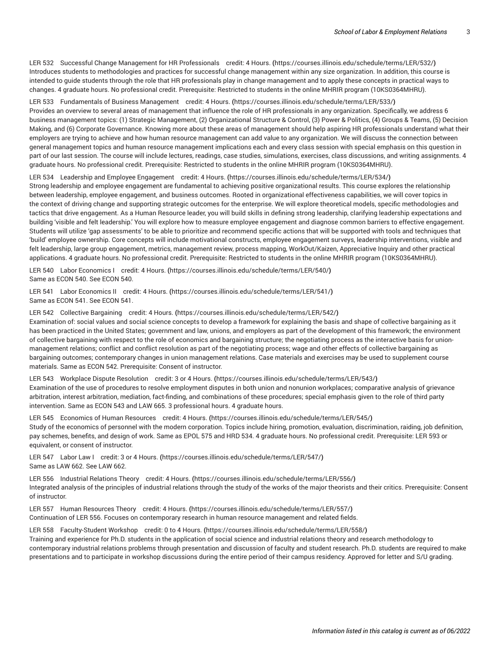LER 532 Successful Change Management for HR [Professionals](https://courses.illinois.edu/schedule/terms/LER/532/) credit: 4 Hours. **(**<https://courses.illinois.edu/schedule/terms/LER/532/>**)** Introduces students to methodologies and practices for successful change management within any size organization. In addition, this course is intended to guide students through the role that HR professionals play in change management and to apply these concepts in practical ways to changes. 4 graduate hours. No professional credit. Prerequisite: Restricted to students in the online MHRIR program (10KS0364MHRU).

LER 533 [Fundamentals](https://courses.illinois.edu/schedule/terms/LER/533/) of Business Management credit: 4 Hours. **(**<https://courses.illinois.edu/schedule/terms/LER/533/>**)** Provides an overview to several areas of management that influence the role of HR professionals in any organization. Specifically, we address 6 business management topics: (1) Strategic Management, (2) Organizational Structure & Control, (3) Power & Politics, (4) Groups & Teams, (5) Decision Making, and (6) Corporate Governance. Knowing more about these areas of management should help aspiring HR professionals understand what their employers are trying to achieve and how human resource management can add value to any organization. We will discuss the connection between general management topics and human resource management implications each and every class session with special emphasis on this question in part of our last session. The course will include lectures, readings, case studies, simulations, exercises, class discussions, and writing assignments. 4 graduate hours. No professional credit. Prerequisite: Restricted to students in the online MHRIR program (10KS0364MHRU).

LER 534 Leadership and Employee [Engagement](https://courses.illinois.edu/schedule/terms/LER/534/) credit: 4 Hours. **(**<https://courses.illinois.edu/schedule/terms/LER/534/>**)**

Strong leadership and employee engagement are fundamental to achieving positive organizational results. This course explores the relationship between leadership, employee engagement, and business outcomes. Rooted in organizational effectiveness capabilities, we will cover topics in the context of driving change and supporting strategic outcomes for the enterprise. We will explore theoretical models, specific methodologies and tactics that drive engagement. As a Human Resource leader, you will build skills in defining strong leadership, clarifying leadership expectations and building 'visible and felt leadership.' You will explore how to measure employee engagement and diagnose common barriers to effective engagement. Students will utilize 'gap assessments' to be able to prioritize and recommend specific actions that will be supported with tools and techniques that 'build' employee ownership. Core concepts will include motivational constructs, employee engagement surveys, leadership interventions, visible and felt leadership, large group engagement, metrics, management review, process mapping, WorkOut/Kaizen, Appreciative Inquiry and other practical applications. 4 graduate hours. No professional credit. Prerequisite: Restricted to students in the online MHRIR program (10KS0364MHRU).

LER 540 Labor [Economics](https://courses.illinois.edu/schedule/terms/LER/540/) I credit: 4 Hours. **(**<https://courses.illinois.edu/schedule/terms/LER/540/>**)** Same as [ECON 540](/search/?P=ECON%20540). See [ECON 540](/search/?P=ECON%20540).

LER 541 Labor [Economics](https://courses.illinois.edu/schedule/terms/LER/541/) II credit: 4 Hours. **(**<https://courses.illinois.edu/schedule/terms/LER/541/>**)** Same as [ECON 541](/search/?P=ECON%20541). See [ECON 541](/search/?P=ECON%20541).

LER 542 Collective [Bargaining](https://courses.illinois.edu/schedule/terms/LER/542/) credit: 4 Hours. **(**<https://courses.illinois.edu/schedule/terms/LER/542/>**)** Examination of: social values and social science concepts to develop a framework for explaining the basis and shape of collective bargaining as it has been practiced in the United States; government and law, unions, and employers as part of the development of this framework; the environment of collective bargaining with respect to the role of economics and bargaining structure; the negotiating process as the interactive basis for unionmanagement relations; conflict and conflict resolution as part of the negotiating process; wage and other effects of collective bargaining as bargaining outcomes; contemporary changes in union management relations. Case materials and exercises may be used to supplement course materials. Same as [ECON 542](/search/?P=ECON%20542). Prerequisite: Consent of instructor.

LER 543 Workplace Dispute [Resolution](https://courses.illinois.edu/schedule/terms/LER/543/) credit: 3 or 4 Hours. **(**<https://courses.illinois.edu/schedule/terms/LER/543/>**)** Examination of the use of procedures to resolve employment disputes in both union and nonunion workplaces; comparative analysis of grievance arbitration, interest arbitration, mediation, fact-finding, and combinations of these procedures; special emphasis given to the role of third party intervention. Same as [ECON 543](/search/?P=ECON%20543) and [LAW](/search/?P=LAW%20665) 665. 3 professional hours. 4 graduate hours.

LER 545 [Economics](https://courses.illinois.edu/schedule/terms/LER/545/) of Human Resources credit: 4 Hours. **(**<https://courses.illinois.edu/schedule/terms/LER/545/>**)** Study of the economics of personnel with the modern corporation. Topics include hiring, promotion, evaluation, discrimination, raiding, job definition, pay schemes, benefits, and design of work. Same as [EPOL 575](/search/?P=EPOL%20575) and [HRD 534](/search/?P=HRD%20534). 4 graduate hours. No professional credit. Prerequisite: [LER 593](/search/?P=LER%20593) or equivalent, or consent of instructor.

LER 547 Labor Law I credit: 3 or 4 [Hours.](https://courses.illinois.edu/schedule/terms/LER/547/) **(**<https://courses.illinois.edu/schedule/terms/LER/547/>**)** Same as [LAW](/search/?P=LAW%20662) 662. See [LAW](/search/?P=LAW%20662) 662.

LER 556 [Industrial](https://courses.illinois.edu/schedule/terms/LER/556/) Relations Theory credit: 4 Hours. **(**<https://courses.illinois.edu/schedule/terms/LER/556/>**)** Integrated analysis of the principles of industrial relations through the study of the works of the major theorists and their critics. Prerequisite: Consent of instructor.

LER 557 Human [Resources](https://courses.illinois.edu/schedule/terms/LER/557/) Theory credit: 4 Hours. **(**<https://courses.illinois.edu/schedule/terms/LER/557/>**)** Continuation of [LER 556](/search/?P=LER%20556). Focuses on contemporary research in human resource management and related fields.

LER 558 [Faculty-Student](https://courses.illinois.edu/schedule/terms/LER/558/) Workshop credit: 0 to 4 Hours. **(**<https://courses.illinois.edu/schedule/terms/LER/558/>**)** Training and experience for Ph.D. students in the application of social science and industrial relations theory and research methodology to contemporary industrial relations problems through presentation and discussion of faculty and student research. Ph.D. students are required to make presentations and to participate in workshop discussions during the entire period of their campus residency. Approved for letter and S/U grading.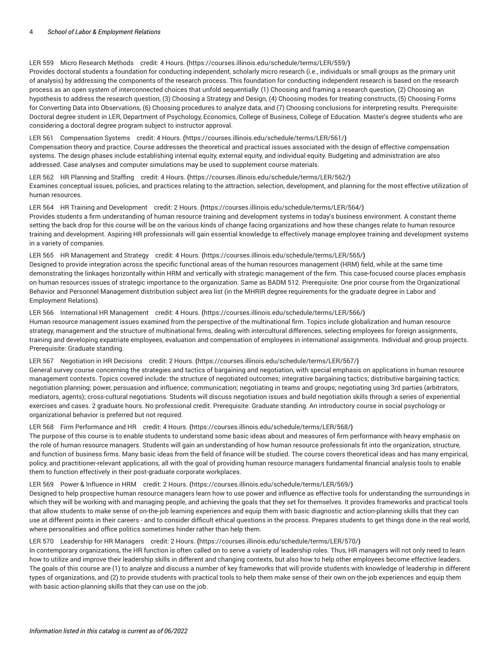# LER 559 Micro [Research](https://courses.illinois.edu/schedule/terms/LER/559/) Methods credit: 4 Hours. **(**<https://courses.illinois.edu/schedule/terms/LER/559/>**)**

Provides doctoral students a foundation for conducting independent, scholarly micro research (i.e., individuals or small groups as the primary unit of analysis) by addressing the components of the research process. This foundation for conducting independent research is based on the research process as an open system of interconnected choices that unfold sequentially: (1) Choosing and framing a research question, (2) Choosing an hypothesis to address the research question, (3) Choosing a Strategy and Design, (4) Choosing modes for treating constructs, (5) Choosing Forms for Converting Data into Observations, (6) Choosing procedures to analyze data, and (7) Choosing conclusions for interpreting results. Prerequisite: Doctoral degree student in LER, Department of Psychology, Economics, College of Business, College of Education. Master's degree students who are considering a doctoral degree program subject to instructor approval.

# LER 561 [Compensation](https://courses.illinois.edu/schedule/terms/LER/561/) Systems credit: 4 Hours. **(**<https://courses.illinois.edu/schedule/terms/LER/561/>**)**

Compensation theory and practice. Course addresses the theoretical and practical issues associated with the design of effective compensation systems. The design phases include establishing internal equity, external equity, and individual equity. Budgeting and administration are also addressed. Case analyses and computer simulations may be used to supplement course materials.

LER 562 HR [Planning](https://courses.illinois.edu/schedule/terms/LER/562/) and Staffing credit: 4 Hours. **(**<https://courses.illinois.edu/schedule/terms/LER/562/>**)** Examines conceptual issues, policies, and practices relating to the attraction, selection, development, and planning for the most effective utilization of human resources.

#### LER 564 HR Training and [Development](https://courses.illinois.edu/schedule/terms/LER/564/) credit: 2 Hours. **(**<https://courses.illinois.edu/schedule/terms/LER/564/>**)**

Provides students a firm understanding of human resource training and development systems in today's business environment. A constant theme setting the back drop for this course will be on the various kinds of change facing organizations and how these changes relate to human resource training and development. Aspiring HR professionals will gain essential knowledge to effectively manage employee training and development systems in a variety of companies.

#### LER 565 HR [Management](https://courses.illinois.edu/schedule/terms/LER/565/) and Strategy credit: 4 Hours. **(**<https://courses.illinois.edu/schedule/terms/LER/565/>**)**

Designed to provide integration across the specific functional areas of the human resources management (HRM) field, while at the same time demonstrating the linkages horizontally within HRM and vertically with strategic management of the firm. This case-focused course places emphasis on human resources issues of strategic importance to the organization. Same as [BADM 512](/search/?P=BADM%20512). Prerequisite: One prior course from the Organizational Behavior and Personnel Management distribution subject area list (in the MHRIR degree requirements for the graduate degree in Labor and Employment Relations).

#### LER 566 International HR [Management](https://courses.illinois.edu/schedule/terms/LER/566/) credit: 4 Hours. **(**<https://courses.illinois.edu/schedule/terms/LER/566/>**)**

Human resource management issues examined from the perspective of the multinational firm. Topics include globalization and human resource strategy, management and the structure of multinational firms, dealing with intercultural differences, selecting employees for foreign assignments, training and developing expatriate employees, evaluation and compensation of employees in international assignments. Individual and group projects. Prerequisite: Graduate standing.

#### LER 567 [Negotiation](https://courses.illinois.edu/schedule/terms/LER/567/) in HR Decisions credit: 2 Hours. **(**<https://courses.illinois.edu/schedule/terms/LER/567/>**)**

General survey course concerning the strategies and tactics of bargaining and negotiation, with special emphasis on applications in human resource management contexts. Topics covered include: the structure of negotiated outcomes; integrative bargaining tactics; distributive bargaining tactics; negotiation planning; power, persuasion and influence; communication; negotiating in teams and groups; negotiating using 3rd parties (arbitrators, mediators, agents); cross-cultural negotiations. Students will discuss negotiation issues and build negotiation skills through a series of experiential exercises and cases. 2 graduate hours. No professional credit. Prerequisite: Graduate standing. An introductory course in social psychology or organizational behavior is preferred but not required.

# LER 568 Firm [Performance](https://courses.illinois.edu/schedule/terms/LER/568/) and HR credit: 4 Hours. **(**<https://courses.illinois.edu/schedule/terms/LER/568/>**)**

The purpose of this course is to enable students to understand some basic ideas about and measures of firm performance with heavy emphasis on the role of human resource managers. Students will gain an understanding of how human resource professionals fit into the organization, structure, and function of business firms. Many basic ideas from the field of finance will be studied. The course covers theoretical ideas and has many empirical, policy, and practitioner-relevant applications, all with the goal of providing human resource managers fundamental financial analysis tools to enable them to function effectively in their post-graduate corporate workplaces.

### LER 569 Power & [Influence](https://courses.illinois.edu/schedule/terms/LER/569/) in HRM credit: 2 Hours. **(**<https://courses.illinois.edu/schedule/terms/LER/569/>**)**

Designed to help prospective human resource managers learn how to use power and influence as effective tools for understanding the surroundings in which they will be working with and managing people, and achieving the goals that they set for themselves. It provides frameworks and practical tools that allow students to make sense of on-the-job learning experiences and equip them with basic diagnostic and action-planning skills that they can use at different points in their careers - and to consider difficult ethical questions in the process. Prepares students to get things done in the real world, where personalities and office politics sometimes hinder rather than help them.

# LER 570 [Leadership](https://courses.illinois.edu/schedule/terms/LER/570/) for HR Managers credit: 2 Hours. **(**<https://courses.illinois.edu/schedule/terms/LER/570/>**)**

In contemporary organizations, the HR function is often called on to serve a variety of leadership roles. Thus, HR managers will not only need to learn how to utilize and improve their leadership skills in different and changing contexts, but also how to help other employees become effective leaders. The goals of this course are (1) to analyze and discuss a number of key frameworks that will provide students with knowledge of leadership in different types of organizations, and (2) to provide students with practical tools to help them make sense of their own on-the-job experiences and equip them with basic action-planning skills that they can use on the job.